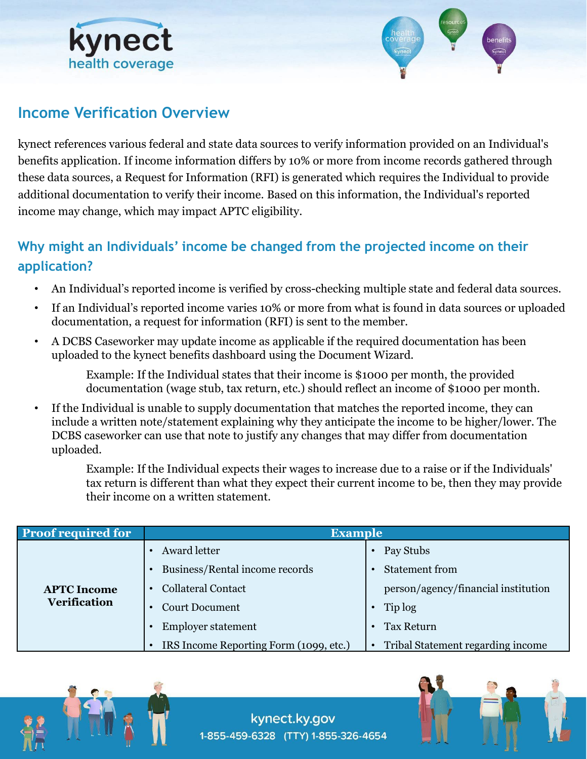



## **Income Verification Overview**

kynect references various federal and state data sources to verify information provided on an Individual's benefits application. If income information differs by 10% or more from income records gathered through these data sources, a Request for Information (RFI) is generated which requires the Individual to provide additional documentation to verify their income. Based on this information, the Individual's reported income may change, which may impact APTC eligibility.

# **Why might an Individuals' income be changed from the projected income on their application?**

- An Individual's reported income is verified by cross-checking multiple state and federal data sources.
- If an Individual's reported income varies 10% or more from what is found in data sources or uploaded documentation, a request for information (RFI) is sent to the member.
- A DCBS Caseworker may update income as applicable if the required documentation has been uploaded to the kynect benefits dashboard using the Document Wizard.

Example: If the Individual states that their income is \$1000 per month, the provided documentation (wage stub, tax return, etc.) should reflect an income of \$1000 per month.

If the Individual is unable to supply documentation that matches the reported income, they can include a written note/statement explaining why they anticipate the income to be higher/lower. The DCBS caseworker can use that note to justify any changes that may differ from documentation uploaded.

Example: If the Individual expects their wages to increase due to a raise or if the Individuals' tax return is different than what they expect their current income to be, then they may provide their income on a written statement.

| <b>Proof required for</b>                 | <b>Example</b>                         |                                     |
|-------------------------------------------|----------------------------------------|-------------------------------------|
| <b>APTC</b> Income<br><b>Verification</b> | Award letter                           | Pay Stubs                           |
|                                           | Business/Rental income records         | <b>Statement from</b>               |
|                                           | <b>Collateral Contact</b>              | person/agency/financial institution |
|                                           | <b>Court Document</b>                  | Tip log                             |
|                                           | <b>Employer statement</b>              | <b>Tax Return</b>                   |
|                                           | IRS Income Reporting Form (1099, etc.) | Tribal Statement regarding income   |